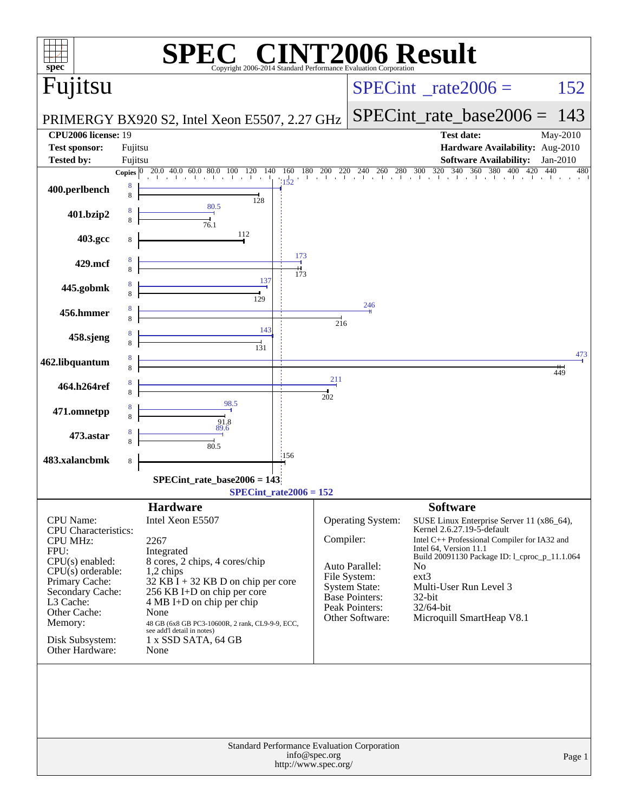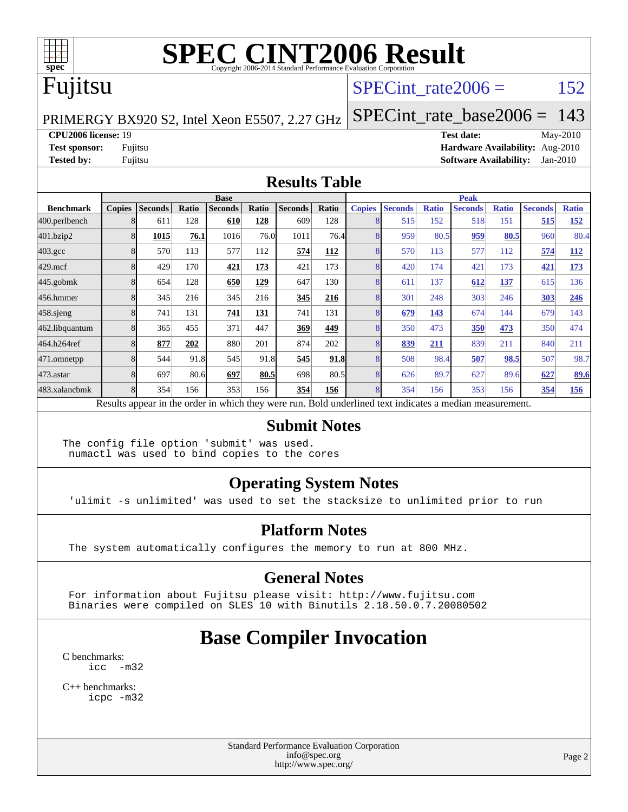

# Fujitsu

#### SPECint rate $2006 = 152$

[SPECint\\_rate\\_base2006 =](http://www.spec.org/auto/cpu2006/Docs/result-fields.html#SPECintratebase2006) 143

#### PRIMERGY BX920 S2, Intel Xeon E5507, 2.27 GHz

**[CPU2006 license:](http://www.spec.org/auto/cpu2006/Docs/result-fields.html#CPU2006license)** 19 **[Test date:](http://www.spec.org/auto/cpu2006/Docs/result-fields.html#Testdate)** May-2010 **[Test sponsor:](http://www.spec.org/auto/cpu2006/Docs/result-fields.html#Testsponsor)** Fujitsu **[Hardware Availability:](http://www.spec.org/auto/cpu2006/Docs/result-fields.html#HardwareAvailability)** Aug-2010 **[Tested by:](http://www.spec.org/auto/cpu2006/Docs/result-fields.html#Testedby)** Fujitsu **[Software Availability:](http://www.spec.org/auto/cpu2006/Docs/result-fields.html#SoftwareAvailability)** Jan-2010

#### **[Results Table](http://www.spec.org/auto/cpu2006/Docs/result-fields.html#ResultsTable)**

|                    | <b>Base</b>   |                                                                                                          |       |                |            |                |            | <b>Peak</b>   |                |              |                |              |                |              |
|--------------------|---------------|----------------------------------------------------------------------------------------------------------|-------|----------------|------------|----------------|------------|---------------|----------------|--------------|----------------|--------------|----------------|--------------|
| <b>Benchmark</b>   | <b>Copies</b> | <b>Seconds</b>                                                                                           | Ratio | <b>Seconds</b> | Ratio      | <b>Seconds</b> | Ratio      | <b>Copies</b> | <b>Seconds</b> | <b>Ratio</b> | <b>Seconds</b> | <b>Ratio</b> | <b>Seconds</b> | <b>Ratio</b> |
| 400.perlbench      |               | 611                                                                                                      | 128   | 610            | 128        | 609            | 128        |               | 515            | 152          | 518            | 151          | 515            | 152          |
| 401.bzip2          |               | 1015                                                                                                     | 76.1  | 1016           | 76.0       | 1011           | 76.4       |               | 959            | 80.5         | 959            | 80.5         | 960            | 80.4         |
| $403.\mathrm{gcc}$ |               | 570                                                                                                      | 113   | 577            | 112        | 574            | <b>112</b> |               | 570            | 113          | 577            | 112          | 574            | 112          |
| $429$ .mcf         |               | 429                                                                                                      | 170   | 421            | 173        | 421            | 173        |               | 420            | 174          | 421            | 173          | 421            | 173          |
| $445$ .gobm $k$    |               | 654                                                                                                      | 128   | 650            | <u>129</u> | 647            | 130        |               | 611            | 137          | 612            | <u>137</u>   | 615            | 136          |
| 456.hmmer          |               | 345                                                                                                      | 216   | 345            | 216        | 345            | 216        |               | 301            | 248          | 303            | 246          | 303            | 246          |
| $458$ .sjeng       |               | 741                                                                                                      | 131   | 741            | 131        | 741            | 131        |               | 679            | <u>143</u>   | 674            | 144          | 679            | 143          |
| 462.libquantum     |               | 365                                                                                                      | 455   | 371            | 447        | 369            | 449        |               | 350            | 473          | 350            | 473          | 350            | 474          |
| 464.h264ref        |               | 877                                                                                                      | 202   | 880            | 201        | 874            | 202        |               | 839            | 211          | 839            | 211          | 840            | 211          |
| 471.omnetpp        |               | 544                                                                                                      | 91.8  | 545            | 91.8       | 545            | 91.8       |               | 508            | 98.4         | 507            | 98.5         | 507            | 98.7         |
| 473.astar          |               | 697                                                                                                      | 80.6  | 697            | 80.5       | 698            | 80.5       |               | 626            | 89.7         | 627            | 89.6         | 627            | 89.6         |
| 483.xalancbmk      |               | 354                                                                                                      | 156   | 353            | 156        | 354            | 156        |               | 354            | 156          | 353            | 156          | 354            | 156          |
|                    |               | Results appear in the order in which they were run. Bold underlined text indicates a median measurement. |       |                |            |                |            |               |                |              |                |              |                |              |

#### **[Submit Notes](http://www.spec.org/auto/cpu2006/Docs/result-fields.html#SubmitNotes)**

The config file option 'submit' was used. numactl was used to bind copies to the cores

#### **[Operating System Notes](http://www.spec.org/auto/cpu2006/Docs/result-fields.html#OperatingSystemNotes)**

'ulimit -s unlimited' was used to set the stacksize to unlimited prior to run

#### **[Platform Notes](http://www.spec.org/auto/cpu2006/Docs/result-fields.html#PlatformNotes)**

The system automatically configures the memory to run at 800 MHz.

#### **[General Notes](http://www.spec.org/auto/cpu2006/Docs/result-fields.html#GeneralNotes)**

 For information about Fujitsu please visit: <http://www.fujitsu.com> Binaries were compiled on SLES 10 with Binutils 2.18.50.0.7.20080502

### **[Base Compiler Invocation](http://www.spec.org/auto/cpu2006/Docs/result-fields.html#BaseCompilerInvocation)**

[C benchmarks](http://www.spec.org/auto/cpu2006/Docs/result-fields.html#Cbenchmarks): [icc -m32](http://www.spec.org/cpu2006/results/res2010q3/cpu2006-20100702-12094.flags.html#user_CCbase_intel_icc_32bit_5ff4a39e364c98233615fdd38438c6f2)

[C++ benchmarks:](http://www.spec.org/auto/cpu2006/Docs/result-fields.html#CXXbenchmarks) [icpc -m32](http://www.spec.org/cpu2006/results/res2010q3/cpu2006-20100702-12094.flags.html#user_CXXbase_intel_icpc_32bit_4e5a5ef1a53fd332b3c49e69c3330699)

> Standard Performance Evaluation Corporation [info@spec.org](mailto:info@spec.org) <http://www.spec.org/>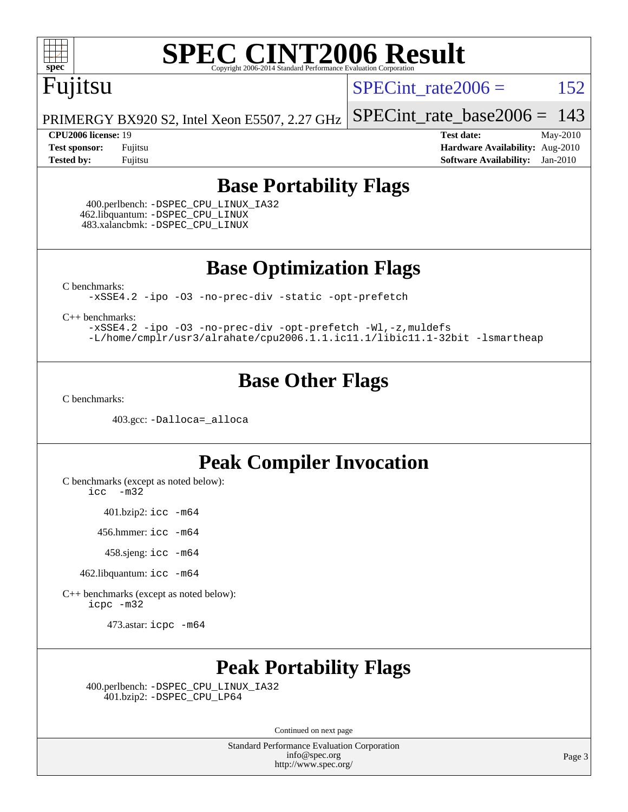

### Fujitsu

SPECint rate $2006 = 152$ 

[SPECint\\_rate\\_base2006 =](http://www.spec.org/auto/cpu2006/Docs/result-fields.html#SPECintratebase2006) 143

PRIMERGY BX920 S2, Intel Xeon E5507, 2.27 GHz

**[CPU2006 license:](http://www.spec.org/auto/cpu2006/Docs/result-fields.html#CPU2006license)** 19 **[Test date:](http://www.spec.org/auto/cpu2006/Docs/result-fields.html#Testdate)** May-2010 **[Test sponsor:](http://www.spec.org/auto/cpu2006/Docs/result-fields.html#Testsponsor)** Fujitsu **[Hardware Availability:](http://www.spec.org/auto/cpu2006/Docs/result-fields.html#HardwareAvailability)** Aug-2010 **[Tested by:](http://www.spec.org/auto/cpu2006/Docs/result-fields.html#Testedby)** Fujitsu **[Software Availability:](http://www.spec.org/auto/cpu2006/Docs/result-fields.html#SoftwareAvailability)** Jan-2010

#### **[Base Portability Flags](http://www.spec.org/auto/cpu2006/Docs/result-fields.html#BasePortabilityFlags)**

 400.perlbench: [-DSPEC\\_CPU\\_LINUX\\_IA32](http://www.spec.org/cpu2006/results/res2010q3/cpu2006-20100702-12094.flags.html#b400.perlbench_baseCPORTABILITY_DSPEC_CPU_LINUX_IA32) 462.libquantum: [-DSPEC\\_CPU\\_LINUX](http://www.spec.org/cpu2006/results/res2010q3/cpu2006-20100702-12094.flags.html#b462.libquantum_baseCPORTABILITY_DSPEC_CPU_LINUX) 483.xalancbmk: [-DSPEC\\_CPU\\_LINUX](http://www.spec.org/cpu2006/results/res2010q3/cpu2006-20100702-12094.flags.html#b483.xalancbmk_baseCXXPORTABILITY_DSPEC_CPU_LINUX)

**[Base Optimization Flags](http://www.spec.org/auto/cpu2006/Docs/result-fields.html#BaseOptimizationFlags)**

[C benchmarks](http://www.spec.org/auto/cpu2006/Docs/result-fields.html#Cbenchmarks):

[-xSSE4.2](http://www.spec.org/cpu2006/results/res2010q3/cpu2006-20100702-12094.flags.html#user_CCbase_f-xSSE42_f91528193cf0b216347adb8b939d4107) [-ipo](http://www.spec.org/cpu2006/results/res2010q3/cpu2006-20100702-12094.flags.html#user_CCbase_f-ipo) [-O3](http://www.spec.org/cpu2006/results/res2010q3/cpu2006-20100702-12094.flags.html#user_CCbase_f-O3) [-no-prec-div](http://www.spec.org/cpu2006/results/res2010q3/cpu2006-20100702-12094.flags.html#user_CCbase_f-no-prec-div) [-static](http://www.spec.org/cpu2006/results/res2010q3/cpu2006-20100702-12094.flags.html#user_CCbase_f-static) [-opt-prefetch](http://www.spec.org/cpu2006/results/res2010q3/cpu2006-20100702-12094.flags.html#user_CCbase_f-opt-prefetch)

[C++ benchmarks:](http://www.spec.org/auto/cpu2006/Docs/result-fields.html#CXXbenchmarks)

[-xSSE4.2](http://www.spec.org/cpu2006/results/res2010q3/cpu2006-20100702-12094.flags.html#user_CXXbase_f-xSSE42_f91528193cf0b216347adb8b939d4107) [-ipo](http://www.spec.org/cpu2006/results/res2010q3/cpu2006-20100702-12094.flags.html#user_CXXbase_f-ipo) [-O3](http://www.spec.org/cpu2006/results/res2010q3/cpu2006-20100702-12094.flags.html#user_CXXbase_f-O3) [-no-prec-div](http://www.spec.org/cpu2006/results/res2010q3/cpu2006-20100702-12094.flags.html#user_CXXbase_f-no-prec-div) [-opt-prefetch](http://www.spec.org/cpu2006/results/res2010q3/cpu2006-20100702-12094.flags.html#user_CXXbase_f-opt-prefetch) [-Wl,-z,muldefs](http://www.spec.org/cpu2006/results/res2010q3/cpu2006-20100702-12094.flags.html#user_CXXbase_link_force_multiple1_74079c344b956b9658436fd1b6dd3a8a) [-L/home/cmplr/usr3/alrahate/cpu2006.1.1.ic11.1/libic11.1-32bit -lsmartheap](http://www.spec.org/cpu2006/results/res2010q3/cpu2006-20100702-12094.flags.html#user_CXXbase_SmartHeap_d86dffe4a79b79ef8890d5cce17030c3)

#### **[Base Other Flags](http://www.spec.org/auto/cpu2006/Docs/result-fields.html#BaseOtherFlags)**

[C benchmarks](http://www.spec.org/auto/cpu2006/Docs/result-fields.html#Cbenchmarks):

403.gcc: [-Dalloca=\\_alloca](http://www.spec.org/cpu2006/results/res2010q3/cpu2006-20100702-12094.flags.html#b403.gcc_baseEXTRA_CFLAGS_Dalloca_be3056838c12de2578596ca5467af7f3)

#### **[Peak Compiler Invocation](http://www.spec.org/auto/cpu2006/Docs/result-fields.html#PeakCompilerInvocation)**

[C benchmarks \(except as noted below\)](http://www.spec.org/auto/cpu2006/Docs/result-fields.html#Cbenchmarksexceptasnotedbelow):

[icc -m32](http://www.spec.org/cpu2006/results/res2010q3/cpu2006-20100702-12094.flags.html#user_CCpeak_intel_icc_32bit_5ff4a39e364c98233615fdd38438c6f2)

401.bzip2: [icc -m64](http://www.spec.org/cpu2006/results/res2010q3/cpu2006-20100702-12094.flags.html#user_peakCCLD401_bzip2_intel_icc_64bit_bda6cc9af1fdbb0edc3795bac97ada53)

456.hmmer: [icc -m64](http://www.spec.org/cpu2006/results/res2010q3/cpu2006-20100702-12094.flags.html#user_peakCCLD456_hmmer_intel_icc_64bit_bda6cc9af1fdbb0edc3795bac97ada53)

458.sjeng: [icc -m64](http://www.spec.org/cpu2006/results/res2010q3/cpu2006-20100702-12094.flags.html#user_peakCCLD458_sjeng_intel_icc_64bit_bda6cc9af1fdbb0edc3795bac97ada53)

462.libquantum: [icc -m64](http://www.spec.org/cpu2006/results/res2010q3/cpu2006-20100702-12094.flags.html#user_peakCCLD462_libquantum_intel_icc_64bit_bda6cc9af1fdbb0edc3795bac97ada53)

[C++ benchmarks \(except as noted below\):](http://www.spec.org/auto/cpu2006/Docs/result-fields.html#CXXbenchmarksexceptasnotedbelow) [icpc -m32](http://www.spec.org/cpu2006/results/res2010q3/cpu2006-20100702-12094.flags.html#user_CXXpeak_intel_icpc_32bit_4e5a5ef1a53fd332b3c49e69c3330699)

473.astar: [icpc -m64](http://www.spec.org/cpu2006/results/res2010q3/cpu2006-20100702-12094.flags.html#user_peakCXXLD473_astar_intel_icpc_64bit_fc66a5337ce925472a5c54ad6a0de310)

#### **[Peak Portability Flags](http://www.spec.org/auto/cpu2006/Docs/result-fields.html#PeakPortabilityFlags)**

 400.perlbench: [-DSPEC\\_CPU\\_LINUX\\_IA32](http://www.spec.org/cpu2006/results/res2010q3/cpu2006-20100702-12094.flags.html#b400.perlbench_peakCPORTABILITY_DSPEC_CPU_LINUX_IA32) 401.bzip2: [-DSPEC\\_CPU\\_LP64](http://www.spec.org/cpu2006/results/res2010q3/cpu2006-20100702-12094.flags.html#suite_peakCPORTABILITY401_bzip2_DSPEC_CPU_LP64)

Continued on next page

Standard Performance Evaluation Corporation [info@spec.org](mailto:info@spec.org) <http://www.spec.org/>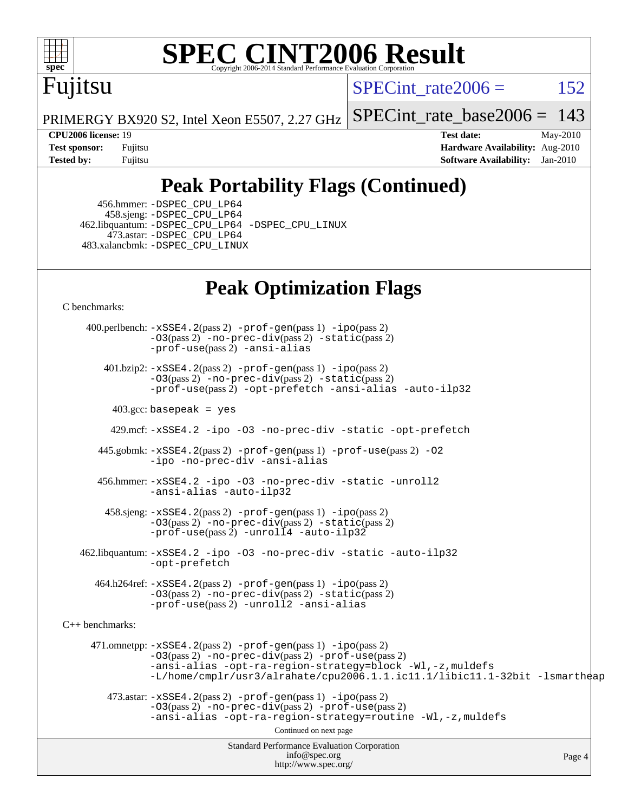

# Fujitsu

SPECint rate $2006 = 152$ 

[SPECint\\_rate\\_base2006 =](http://www.spec.org/auto/cpu2006/Docs/result-fields.html#SPECintratebase2006)  $143$ 

PRIMERGY BX920 S2, Intel Xeon E5507, 2.27 GHz

**[CPU2006 license:](http://www.spec.org/auto/cpu2006/Docs/result-fields.html#CPU2006license)** 19 **[Test date:](http://www.spec.org/auto/cpu2006/Docs/result-fields.html#Testdate)** May-2010 **[Test sponsor:](http://www.spec.org/auto/cpu2006/Docs/result-fields.html#Testsponsor)** Fujitsu **[Hardware Availability:](http://www.spec.org/auto/cpu2006/Docs/result-fields.html#HardwareAvailability)** Aug-2010 **[Tested by:](http://www.spec.org/auto/cpu2006/Docs/result-fields.html#Testedby)** Fujitsu **[Software Availability:](http://www.spec.org/auto/cpu2006/Docs/result-fields.html#SoftwareAvailability)** Jan-2010

### **[Peak Portability Flags \(Continued\)](http://www.spec.org/auto/cpu2006/Docs/result-fields.html#PeakPortabilityFlags)**

 456.hmmer: [-DSPEC\\_CPU\\_LP64](http://www.spec.org/cpu2006/results/res2010q3/cpu2006-20100702-12094.flags.html#suite_peakCPORTABILITY456_hmmer_DSPEC_CPU_LP64) 458.sjeng: [-DSPEC\\_CPU\\_LP64](http://www.spec.org/cpu2006/results/res2010q3/cpu2006-20100702-12094.flags.html#suite_peakCPORTABILITY458_sjeng_DSPEC_CPU_LP64) 462.libquantum: [-DSPEC\\_CPU\\_LP64](http://www.spec.org/cpu2006/results/res2010q3/cpu2006-20100702-12094.flags.html#suite_peakCPORTABILITY462_libquantum_DSPEC_CPU_LP64) [-DSPEC\\_CPU\\_LINUX](http://www.spec.org/cpu2006/results/res2010q3/cpu2006-20100702-12094.flags.html#b462.libquantum_peakCPORTABILITY_DSPEC_CPU_LINUX) 473.astar: [-DSPEC\\_CPU\\_LP64](http://www.spec.org/cpu2006/results/res2010q3/cpu2006-20100702-12094.flags.html#suite_peakCXXPORTABILITY473_astar_DSPEC_CPU_LP64) 483.xalancbmk: [-DSPEC\\_CPU\\_LINUX](http://www.spec.org/cpu2006/results/res2010q3/cpu2006-20100702-12094.flags.html#b483.xalancbmk_peakCXXPORTABILITY_DSPEC_CPU_LINUX)

#### **[Peak Optimization Flags](http://www.spec.org/auto/cpu2006/Docs/result-fields.html#PeakOptimizationFlags)**

[C benchmarks](http://www.spec.org/auto/cpu2006/Docs/result-fields.html#Cbenchmarks):

Standard Performance Evaluation Corporation [info@spec.org](mailto:info@spec.org) <http://www.spec.org/> Page 4 400.perlbench: [-xSSE4.2](http://www.spec.org/cpu2006/results/res2010q3/cpu2006-20100702-12094.flags.html#user_peakPASS2_CFLAGSPASS2_LDCFLAGS400_perlbench_f-xSSE42_f91528193cf0b216347adb8b939d4107)(pass 2) [-prof-gen](http://www.spec.org/cpu2006/results/res2010q3/cpu2006-20100702-12094.flags.html#user_peakPASS1_CFLAGSPASS1_LDCFLAGS400_perlbench_prof_gen_e43856698f6ca7b7e442dfd80e94a8fc)(pass 1) [-ipo](http://www.spec.org/cpu2006/results/res2010q3/cpu2006-20100702-12094.flags.html#user_peakPASS2_CFLAGSPASS2_LDCFLAGS400_perlbench_f-ipo)(pass 2)  $-03$ (pass 2)  $-$ no-prec-div(pass 2)  $-$ static(pass 2) [-prof-use](http://www.spec.org/cpu2006/results/res2010q3/cpu2006-20100702-12094.flags.html#user_peakPASS2_CFLAGSPASS2_LDCFLAGS400_perlbench_prof_use_bccf7792157ff70d64e32fe3e1250b55)(pass 2) [-ansi-alias](http://www.spec.org/cpu2006/results/res2010q3/cpu2006-20100702-12094.flags.html#user_peakCOPTIMIZE400_perlbench_f-ansi-alias) 401.bzip2: [-xSSE4.2](http://www.spec.org/cpu2006/results/res2010q3/cpu2006-20100702-12094.flags.html#user_peakPASS2_CFLAGSPASS2_LDCFLAGS401_bzip2_f-xSSE42_f91528193cf0b216347adb8b939d4107)(pass 2) [-prof-gen](http://www.spec.org/cpu2006/results/res2010q3/cpu2006-20100702-12094.flags.html#user_peakPASS1_CFLAGSPASS1_LDCFLAGS401_bzip2_prof_gen_e43856698f6ca7b7e442dfd80e94a8fc)(pass 1) [-ipo](http://www.spec.org/cpu2006/results/res2010q3/cpu2006-20100702-12094.flags.html#user_peakPASS2_CFLAGSPASS2_LDCFLAGS401_bzip2_f-ipo)(pass 2) [-O3](http://www.spec.org/cpu2006/results/res2010q3/cpu2006-20100702-12094.flags.html#user_peakPASS2_CFLAGSPASS2_LDCFLAGS401_bzip2_f-O3)(pass 2) [-no-prec-div](http://www.spec.org/cpu2006/results/res2010q3/cpu2006-20100702-12094.flags.html#user_peakPASS2_CFLAGSPASS2_LDCFLAGS401_bzip2_f-no-prec-div)(pass 2) [-static](http://www.spec.org/cpu2006/results/res2010q3/cpu2006-20100702-12094.flags.html#user_peakPASS2_CFLAGSPASS2_LDCFLAGS401_bzip2_f-static)(pass 2) [-prof-use](http://www.spec.org/cpu2006/results/res2010q3/cpu2006-20100702-12094.flags.html#user_peakPASS2_CFLAGSPASS2_LDCFLAGS401_bzip2_prof_use_bccf7792157ff70d64e32fe3e1250b55)(pass 2) [-opt-prefetch](http://www.spec.org/cpu2006/results/res2010q3/cpu2006-20100702-12094.flags.html#user_peakCOPTIMIZE401_bzip2_f-opt-prefetch) [-ansi-alias](http://www.spec.org/cpu2006/results/res2010q3/cpu2006-20100702-12094.flags.html#user_peakCOPTIMIZE401_bzip2_f-ansi-alias) [-auto-ilp32](http://www.spec.org/cpu2006/results/res2010q3/cpu2006-20100702-12094.flags.html#user_peakCOPTIMIZE401_bzip2_f-auto-ilp32)  $403.\text{gcc: basepeak}$  = yes 429.mcf: [-xSSE4.2](http://www.spec.org/cpu2006/results/res2010q3/cpu2006-20100702-12094.flags.html#user_peakCOPTIMIZE429_mcf_f-xSSE42_f91528193cf0b216347adb8b939d4107) [-ipo](http://www.spec.org/cpu2006/results/res2010q3/cpu2006-20100702-12094.flags.html#user_peakCOPTIMIZE429_mcf_f-ipo) [-O3](http://www.spec.org/cpu2006/results/res2010q3/cpu2006-20100702-12094.flags.html#user_peakCOPTIMIZE429_mcf_f-O3) [-no-prec-div](http://www.spec.org/cpu2006/results/res2010q3/cpu2006-20100702-12094.flags.html#user_peakCOPTIMIZE429_mcf_f-no-prec-div) [-static](http://www.spec.org/cpu2006/results/res2010q3/cpu2006-20100702-12094.flags.html#user_peakCOPTIMIZE429_mcf_f-static) [-opt-prefetch](http://www.spec.org/cpu2006/results/res2010q3/cpu2006-20100702-12094.flags.html#user_peakCOPTIMIZE429_mcf_f-opt-prefetch) 445.gobmk: [-xSSE4.2](http://www.spec.org/cpu2006/results/res2010q3/cpu2006-20100702-12094.flags.html#user_peakPASS2_CFLAGSPASS2_LDCFLAGS445_gobmk_f-xSSE42_f91528193cf0b216347adb8b939d4107)(pass 2) [-prof-gen](http://www.spec.org/cpu2006/results/res2010q3/cpu2006-20100702-12094.flags.html#user_peakPASS1_CFLAGSPASS1_LDCFLAGS445_gobmk_prof_gen_e43856698f6ca7b7e442dfd80e94a8fc)(pass 1) [-prof-use](http://www.spec.org/cpu2006/results/res2010q3/cpu2006-20100702-12094.flags.html#user_peakPASS2_CFLAGSPASS2_LDCFLAGS445_gobmk_prof_use_bccf7792157ff70d64e32fe3e1250b55)(pass 2) [-O2](http://www.spec.org/cpu2006/results/res2010q3/cpu2006-20100702-12094.flags.html#user_peakCOPTIMIZE445_gobmk_f-O2) [-ipo](http://www.spec.org/cpu2006/results/res2010q3/cpu2006-20100702-12094.flags.html#user_peakCOPTIMIZE445_gobmk_f-ipo) [-no-prec-div](http://www.spec.org/cpu2006/results/res2010q3/cpu2006-20100702-12094.flags.html#user_peakCOPTIMIZE445_gobmk_f-no-prec-div) [-ansi-alias](http://www.spec.org/cpu2006/results/res2010q3/cpu2006-20100702-12094.flags.html#user_peakCOPTIMIZE445_gobmk_f-ansi-alias) 456.hmmer: [-xSSE4.2](http://www.spec.org/cpu2006/results/res2010q3/cpu2006-20100702-12094.flags.html#user_peakCOPTIMIZE456_hmmer_f-xSSE42_f91528193cf0b216347adb8b939d4107) [-ipo](http://www.spec.org/cpu2006/results/res2010q3/cpu2006-20100702-12094.flags.html#user_peakCOPTIMIZE456_hmmer_f-ipo) [-O3](http://www.spec.org/cpu2006/results/res2010q3/cpu2006-20100702-12094.flags.html#user_peakCOPTIMIZE456_hmmer_f-O3) [-no-prec-div](http://www.spec.org/cpu2006/results/res2010q3/cpu2006-20100702-12094.flags.html#user_peakCOPTIMIZE456_hmmer_f-no-prec-div) [-static](http://www.spec.org/cpu2006/results/res2010q3/cpu2006-20100702-12094.flags.html#user_peakCOPTIMIZE456_hmmer_f-static) [-unroll2](http://www.spec.org/cpu2006/results/res2010q3/cpu2006-20100702-12094.flags.html#user_peakCOPTIMIZE456_hmmer_f-unroll_784dae83bebfb236979b41d2422d7ec2) [-ansi-alias](http://www.spec.org/cpu2006/results/res2010q3/cpu2006-20100702-12094.flags.html#user_peakCOPTIMIZE456_hmmer_f-ansi-alias) [-auto-ilp32](http://www.spec.org/cpu2006/results/res2010q3/cpu2006-20100702-12094.flags.html#user_peakCOPTIMIZE456_hmmer_f-auto-ilp32) 458.sjeng: [-xSSE4.2](http://www.spec.org/cpu2006/results/res2010q3/cpu2006-20100702-12094.flags.html#user_peakPASS2_CFLAGSPASS2_LDCFLAGS458_sjeng_f-xSSE42_f91528193cf0b216347adb8b939d4107)(pass 2) [-prof-gen](http://www.spec.org/cpu2006/results/res2010q3/cpu2006-20100702-12094.flags.html#user_peakPASS1_CFLAGSPASS1_LDCFLAGS458_sjeng_prof_gen_e43856698f6ca7b7e442dfd80e94a8fc)(pass 1) [-ipo](http://www.spec.org/cpu2006/results/res2010q3/cpu2006-20100702-12094.flags.html#user_peakPASS2_CFLAGSPASS2_LDCFLAGS458_sjeng_f-ipo)(pass 2) [-O3](http://www.spec.org/cpu2006/results/res2010q3/cpu2006-20100702-12094.flags.html#user_peakPASS2_CFLAGSPASS2_LDCFLAGS458_sjeng_f-O3)(pass 2) [-no-prec-div](http://www.spec.org/cpu2006/results/res2010q3/cpu2006-20100702-12094.flags.html#user_peakPASS2_CFLAGSPASS2_LDCFLAGS458_sjeng_f-no-prec-div)(pass 2) [-static](http://www.spec.org/cpu2006/results/res2010q3/cpu2006-20100702-12094.flags.html#user_peakPASS2_CFLAGSPASS2_LDCFLAGS458_sjeng_f-static)(pass 2) [-prof-use](http://www.spec.org/cpu2006/results/res2010q3/cpu2006-20100702-12094.flags.html#user_peakPASS2_CFLAGSPASS2_LDCFLAGS458_sjeng_prof_use_bccf7792157ff70d64e32fe3e1250b55)(pass 2) [-unroll4](http://www.spec.org/cpu2006/results/res2010q3/cpu2006-20100702-12094.flags.html#user_peakCOPTIMIZE458_sjeng_f-unroll_4e5e4ed65b7fd20bdcd365bec371b81f) [-auto-ilp32](http://www.spec.org/cpu2006/results/res2010q3/cpu2006-20100702-12094.flags.html#user_peakCOPTIMIZE458_sjeng_f-auto-ilp32) 462.libquantum: [-xSSE4.2](http://www.spec.org/cpu2006/results/res2010q3/cpu2006-20100702-12094.flags.html#user_peakCOPTIMIZE462_libquantum_f-xSSE42_f91528193cf0b216347adb8b939d4107) [-ipo](http://www.spec.org/cpu2006/results/res2010q3/cpu2006-20100702-12094.flags.html#user_peakCOPTIMIZE462_libquantum_f-ipo) [-O3](http://www.spec.org/cpu2006/results/res2010q3/cpu2006-20100702-12094.flags.html#user_peakCOPTIMIZE462_libquantum_f-O3) [-no-prec-div](http://www.spec.org/cpu2006/results/res2010q3/cpu2006-20100702-12094.flags.html#user_peakCOPTIMIZE462_libquantum_f-no-prec-div) [-static](http://www.spec.org/cpu2006/results/res2010q3/cpu2006-20100702-12094.flags.html#user_peakCOPTIMIZE462_libquantum_f-static) [-auto-ilp32](http://www.spec.org/cpu2006/results/res2010q3/cpu2006-20100702-12094.flags.html#user_peakCOPTIMIZE462_libquantum_f-auto-ilp32) [-opt-prefetch](http://www.spec.org/cpu2006/results/res2010q3/cpu2006-20100702-12094.flags.html#user_peakCOPTIMIZE462_libquantum_f-opt-prefetch) 464.h264ref: [-xSSE4.2](http://www.spec.org/cpu2006/results/res2010q3/cpu2006-20100702-12094.flags.html#user_peakPASS2_CFLAGSPASS2_LDCFLAGS464_h264ref_f-xSSE42_f91528193cf0b216347adb8b939d4107)(pass 2) [-prof-gen](http://www.spec.org/cpu2006/results/res2010q3/cpu2006-20100702-12094.flags.html#user_peakPASS1_CFLAGSPASS1_LDCFLAGS464_h264ref_prof_gen_e43856698f6ca7b7e442dfd80e94a8fc)(pass 1) [-ipo](http://www.spec.org/cpu2006/results/res2010q3/cpu2006-20100702-12094.flags.html#user_peakPASS2_CFLAGSPASS2_LDCFLAGS464_h264ref_f-ipo)(pass 2) [-O3](http://www.spec.org/cpu2006/results/res2010q3/cpu2006-20100702-12094.flags.html#user_peakPASS2_CFLAGSPASS2_LDCFLAGS464_h264ref_f-O3)(pass 2) [-no-prec-div](http://www.spec.org/cpu2006/results/res2010q3/cpu2006-20100702-12094.flags.html#user_peakPASS2_CFLAGSPASS2_LDCFLAGS464_h264ref_f-no-prec-div)(pass 2) [-static](http://www.spec.org/cpu2006/results/res2010q3/cpu2006-20100702-12094.flags.html#user_peakPASS2_CFLAGSPASS2_LDCFLAGS464_h264ref_f-static)(pass 2) [-prof-use](http://www.spec.org/cpu2006/results/res2010q3/cpu2006-20100702-12094.flags.html#user_peakPASS2_CFLAGSPASS2_LDCFLAGS464_h264ref_prof_use_bccf7792157ff70d64e32fe3e1250b55)(pass 2) [-unroll2](http://www.spec.org/cpu2006/results/res2010q3/cpu2006-20100702-12094.flags.html#user_peakCOPTIMIZE464_h264ref_f-unroll_784dae83bebfb236979b41d2422d7ec2) [-ansi-alias](http://www.spec.org/cpu2006/results/res2010q3/cpu2006-20100702-12094.flags.html#user_peakCOPTIMIZE464_h264ref_f-ansi-alias) [C++ benchmarks:](http://www.spec.org/auto/cpu2006/Docs/result-fields.html#CXXbenchmarks) 471.omnetpp: [-xSSE4.2](http://www.spec.org/cpu2006/results/res2010q3/cpu2006-20100702-12094.flags.html#user_peakPASS2_CXXFLAGSPASS2_LDCXXFLAGS471_omnetpp_f-xSSE42_f91528193cf0b216347adb8b939d4107)(pass 2) [-prof-gen](http://www.spec.org/cpu2006/results/res2010q3/cpu2006-20100702-12094.flags.html#user_peakPASS1_CXXFLAGSPASS1_LDCXXFLAGS471_omnetpp_prof_gen_e43856698f6ca7b7e442dfd80e94a8fc)(pass 1) [-ipo](http://www.spec.org/cpu2006/results/res2010q3/cpu2006-20100702-12094.flags.html#user_peakPASS2_CXXFLAGSPASS2_LDCXXFLAGS471_omnetpp_f-ipo)(pass 2) [-O3](http://www.spec.org/cpu2006/results/res2010q3/cpu2006-20100702-12094.flags.html#user_peakPASS2_CXXFLAGSPASS2_LDCXXFLAGS471_omnetpp_f-O3)(pass 2) [-no-prec-div](http://www.spec.org/cpu2006/results/res2010q3/cpu2006-20100702-12094.flags.html#user_peakPASS2_CXXFLAGSPASS2_LDCXXFLAGS471_omnetpp_f-no-prec-div)(pass 2) [-prof-use](http://www.spec.org/cpu2006/results/res2010q3/cpu2006-20100702-12094.flags.html#user_peakPASS2_CXXFLAGSPASS2_LDCXXFLAGS471_omnetpp_prof_use_bccf7792157ff70d64e32fe3e1250b55)(pass 2) [-ansi-alias](http://www.spec.org/cpu2006/results/res2010q3/cpu2006-20100702-12094.flags.html#user_peakCXXOPTIMIZE471_omnetpp_f-ansi-alias) [-opt-ra-region-strategy=block](http://www.spec.org/cpu2006/results/res2010q3/cpu2006-20100702-12094.flags.html#user_peakCXXOPTIMIZE471_omnetpp_f-opt-ra-region-strategy-block_a0a37c372d03933b2a18d4af463c1f69) [-Wl,-z,muldefs](http://www.spec.org/cpu2006/results/res2010q3/cpu2006-20100702-12094.flags.html#user_peakEXTRA_LDFLAGS471_omnetpp_link_force_multiple1_74079c344b956b9658436fd1b6dd3a8a) [-L/home/cmplr/usr3/alrahate/cpu2006.1.1.ic11.1/libic11.1-32bit -lsmartheap](http://www.spec.org/cpu2006/results/res2010q3/cpu2006-20100702-12094.flags.html#user_peakEXTRA_LIBS471_omnetpp_SmartHeap_d86dffe4a79b79ef8890d5cce17030c3)  $473.\text{astar: } -xSSE4$ .  $2(\text{pass 2})$   $-\text{prof-gen}(\text{pass 1})$   $-i\text{po}(\text{pass 2})$ [-O3](http://www.spec.org/cpu2006/results/res2010q3/cpu2006-20100702-12094.flags.html#user_peakPASS2_CXXFLAGSPASS2_LDCXXFLAGS473_astar_f-O3)(pass 2) [-no-prec-div](http://www.spec.org/cpu2006/results/res2010q3/cpu2006-20100702-12094.flags.html#user_peakPASS2_CXXFLAGSPASS2_LDCXXFLAGS473_astar_f-no-prec-div)(pass 2) [-prof-use](http://www.spec.org/cpu2006/results/res2010q3/cpu2006-20100702-12094.flags.html#user_peakPASS2_CXXFLAGSPASS2_LDCXXFLAGS473_astar_prof_use_bccf7792157ff70d64e32fe3e1250b55)(pass 2) [-ansi-alias](http://www.spec.org/cpu2006/results/res2010q3/cpu2006-20100702-12094.flags.html#user_peakCXXOPTIMIZE473_astar_f-ansi-alias) [-opt-ra-region-strategy=routine](http://www.spec.org/cpu2006/results/res2010q3/cpu2006-20100702-12094.flags.html#user_peakCXXOPTIMIZE473_astar_f-opt-ra-region-strategy-routine_ba086ea3b1d46a52e1238e2ca173ed44) [-Wl,-z,muldefs](http://www.spec.org/cpu2006/results/res2010q3/cpu2006-20100702-12094.flags.html#user_peakEXTRA_LDFLAGS473_astar_link_force_multiple1_74079c344b956b9658436fd1b6dd3a8a) Continued on next page